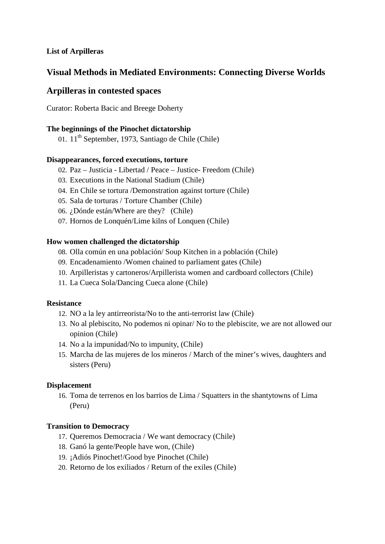## **List of Arpilleras**

# **Visual Methods in Mediated Environments: Connecting Diverse Worlds**

# **Arpilleras in contested spaces**

Curator: Roberta Bacic and Breege Doherty

## **The beginnings of the Pinochet dictatorship**

01.  $11<sup>th</sup>$  September, 1973, Santiago de Chile (Chile)

### **Disappearances, forced executions, torture**

- 02. Paz Justicia Libertad / Peace Justice- Freedom (Chile)
- 03. Executions in the National Stadium (Chile)
- 04. En Chile se tortura /Demonstration against torture (Chile)
- 05. Sala de torturas / Torture Chamber (Chile)
- 06. ¿Dónde están/Where are they? (Chile)
- 07. Hornos de Lonquén/Lime kilns of Lonquen (Chile)

### **How women challenged the dictatorship**

- 08. Olla común en una población/ Soup Kitchen in a población (Chile)
- 09. Encadenamiento /Women chained to parliament gates (Chile)
- 10. Arpilleristas y cartoneros/Arpillerista women and cardboard collectors (Chile)
- 11. La Cueca Sola/Dancing Cueca alone (Chile)

#### **Resistance**

- 12. NO a la ley antirreorista/No to the anti-terrorist law (Chile)
- 13. No al plebiscito, No podemos ni opinar/ No to the plebiscite, we are not allowed our opinion (Chile)
- 14. No a la impunidad/No to impunity, (Chile)
- 15. Marcha de las mujeres de los mineros / March of the miner's wives, daughters and sisters (Peru)

## **Displacement**

16. Toma de terrenos en los barrios de Lima / Squatters in the shantytowns of Lima (Peru)

#### **Transition to Democracy**

- 17. Queremos Democracia / We want democracy (Chile)
- 18. Ganó la gente/People have won, (Chile)
- 19. ¡Adiós Pinochet!/Good bye Pinochet (Chile)
- 20. Retorno de los exiliados / Return of the exiles (Chile)